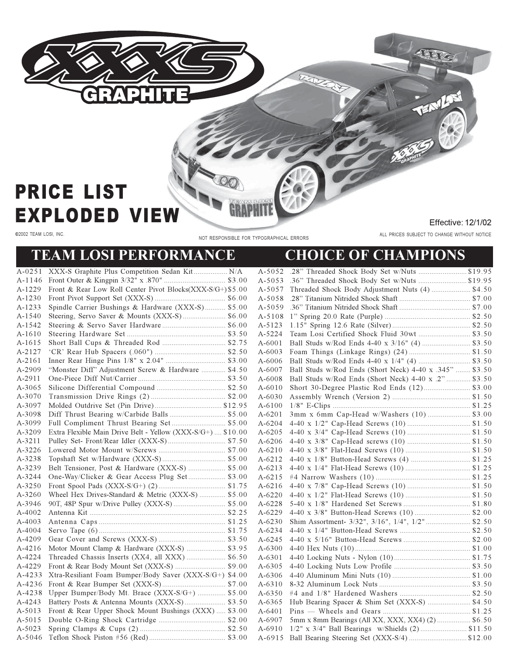

## **PRICE LIST EXPLODED VIEW**

@2002 TEAM LOSI, INC.

NOT RESPONSIBLE FOR TYPOGRAPHICAL ERRORS

Effective: 12/1/02

ALL PRICES SUBJECT TO CHANGE WITHOUT NOTICE

OB

ENG

## **TEAM LOSI PERFORMANCE**

## **CHOICE OF CHAMPIONS**

TEATER

|            | A-0251 XXX-S Graphite Plus Competition Sedan Kit N/A        |            |                                                         |  |
|------------|-------------------------------------------------------------|------------|---------------------------------------------------------|--|
|            |                                                             |            |                                                         |  |
| A-1229     | Front & Rear Low Roll Center Pivot Blocks(XXX-S/G+) \$5.00  | A-5057     | Threaded Shock Body Adjustment Nuts (4)  \$4.50         |  |
| $A-1230$   |                                                             | A-5058     |                                                         |  |
| A-1233     | Spindle Carrier Bushings & Hardware (XXX-S) \$5.00          | A-5059     |                                                         |  |
| $A-1540$   |                                                             |            |                                                         |  |
| A-1542     |                                                             | A-5123     |                                                         |  |
| $A-1610$   |                                                             | A-5224     |                                                         |  |
| A-1615     |                                                             | $A - 6001$ | Ball Studs w/Rod Ends 4-40 x 3/16" (4)  \$3.50          |  |
| A-2127     |                                                             | $A - 6003$ |                                                         |  |
| A-2161     |                                                             | A-6006     |                                                         |  |
| A-2909     | "Monster Diff" Adjustment Screw & Hardware  \$4.50          | A-6007     | Ball Studs w/Rod Ends (Short Neck) 4-40 x .345"  \$3.50 |  |
| A-2911     |                                                             | A-6008     | Ball Studs w/Rod Ends (Short Neck) 4-40 x .2"  \$3.50   |  |
| A-3065     |                                                             | $A - 6010$ |                                                         |  |
| A-3070     |                                                             | A-6030     |                                                         |  |
| A-3097     |                                                             | A-6100     |                                                         |  |
| A-3098     |                                                             | $A - 6201$ |                                                         |  |
| A-3099     |                                                             | $A - 6204$ |                                                         |  |
| A-3209     | Extra Flexible Main Drive Belt - Yellow (XXX-S/G+)  \$10.00 | A-6205     |                                                         |  |
| A-3211     |                                                             | $A - 6206$ |                                                         |  |
| A-3226     |                                                             | $A - 6210$ |                                                         |  |
| A-3238     |                                                             | A-6212     |                                                         |  |
| A-3239     | Belt Tensioner, Post & Hardware (XXX-S)  \$5.00             | A-6213     |                                                         |  |
| A-3244     | One-Way/Clicker & Gear Access Plug Set \$3.00               | $A - 6215$ |                                                         |  |
| A-3250     |                                                             | A-6216     |                                                         |  |
| A-3260     | Wheel Hex Drives-Standard & Metric (XXX-S)  \$5.00          | $A - 6220$ |                                                         |  |
| A-3946     |                                                             | A-6228     |                                                         |  |
| $A - 4002$ |                                                             | A-6229     |                                                         |  |
| $A - 4003$ |                                                             | A-6230     | Shim Assortment- 3/32", 3/16", 1/4", 1/2" \$2.50        |  |
| $A - 4004$ |                                                             | A-6234     |                                                         |  |
| A-4209     |                                                             | A-6245     |                                                         |  |
| A-4216     | Motor Mount Clamp & Hardware (XXX-S)  \$3.95                | $A - 6300$ |                                                         |  |
| A-4224     | Threaded Chassis Inserts (XX4, all XXX)  \$6.50             | A-6301     |                                                         |  |
| A-4229     |                                                             | A-6305     |                                                         |  |
| A-4233     | Xtra-Resiliant Foam Bumper/Body Saver (XXX-S/G+) \$4.00     | A-6306     |                                                         |  |
| A-4236     |                                                             | $A - 6310$ |                                                         |  |
| A-4238     | Upper Bumper/Body Mt. Brace (XXX-S/G+)  \$5.00              | A-6350     |                                                         |  |
| A-4243     |                                                             | A-6365     |                                                         |  |
| A-5013     | Front & Rear Upper Shock Mount Bushings (XXX)  \$3.00       | A-6401     |                                                         |  |
| A-5015     |                                                             | A-6907     | 5mm x 8mm Bearings (All XX, XXX, XX4) (2)  \$6.50       |  |
| A-5023     |                                                             | A-6910     |                                                         |  |
|            |                                                             |            |                                                         |  |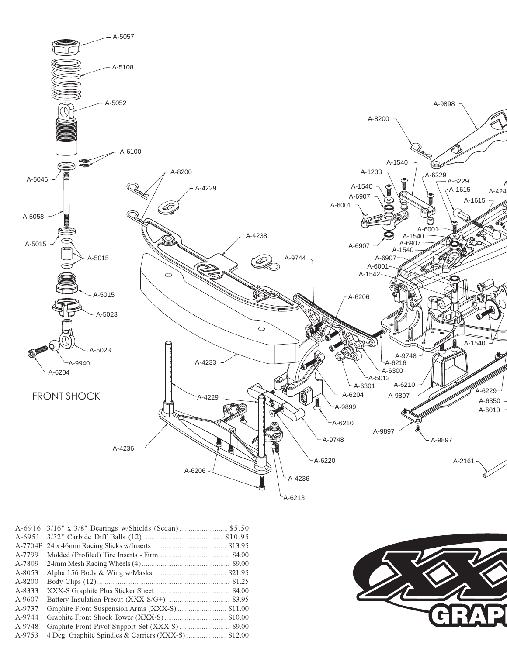

| A-6916  |  |
|---------|--|
|         |  |
| A-6951  |  |
| A-7704P |  |
| A-7799  |  |
| A-7809  |  |
| A-8053  |  |
| A-8200  |  |
| A-8333  |  |
| A-9607  |  |
| A-9737  |  |
| A-9744  |  |
| A-9748  |  |
| A-9753  |  |
|         |  |

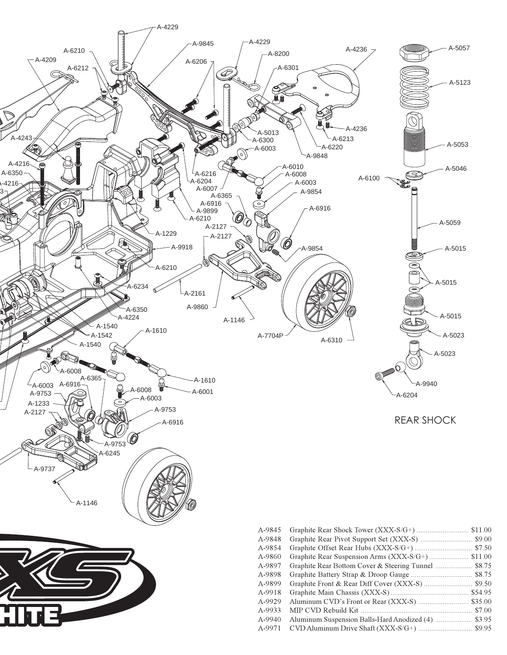